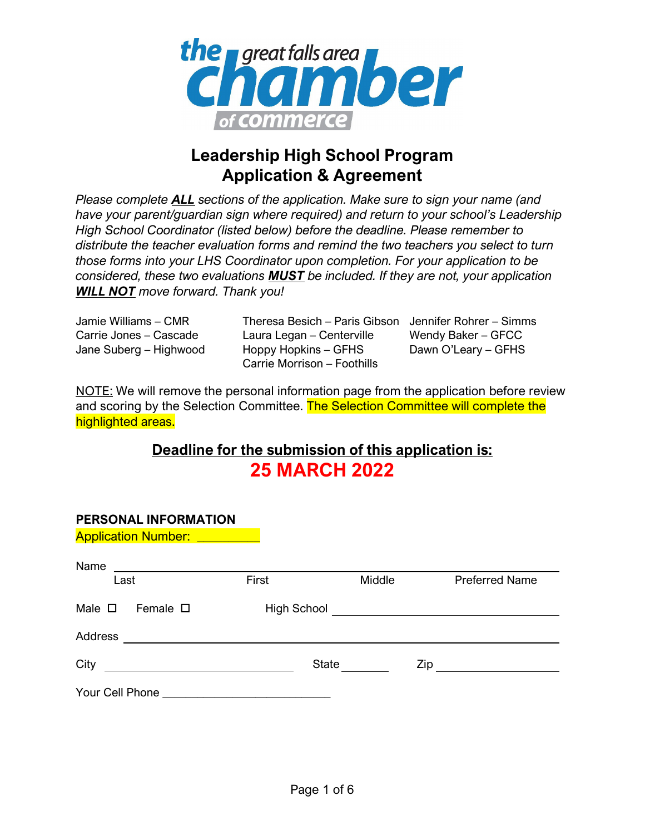

## **Leadership High School Program Application & Agreement**

*Please complete ALL sections of the application. Make sure to sign your name (and have your parent/guardian sign where required) and return to your school's Leadership High School Coordinator (listed below) before the deadline. Please remember to distribute the teacher evaluation forms and remind the two teachers you select to turn those forms into your LHS Coordinator upon completion. For your application to be considered, these two evaluations MUST be included. If they are not, your application WILL NOT move forward. Thank you!*

Jamie Williams – CMR Carrie Jones – Cascade Jane Suberg – Highwood

Theresa Besich – Paris Gibson Jennifer Rohrer – Simms Laura Legan – Centerville Hoppy Hopkins – GFHS Carrie Morrison – Foothills

Wendy Baker – GFCC Dawn O'Leary – GFHS

NOTE: We will remove the personal information page from the application before review and scoring by the Selection Committee. The Selection Committee will complete the highlighted areas.

### **Deadline for the submission of this application is: 25 MARCH 2022**

| PERSONAL INFORMATION                                                                                                         |             |        |     |                       |
|------------------------------------------------------------------------------------------------------------------------------|-------------|--------|-----|-----------------------|
| <b>Application Number:</b> __________                                                                                        |             |        |     |                       |
| Name<br><u> Andreas Andreas Andreas Andreas Andreas Andreas Andreas Andreas Andreas Andreas Andreas Andreas Andreas Andr</u> |             |        |     |                       |
| Last                                                                                                                         | First       | Middle |     | <b>Preferred Name</b> |
| Male $\square$<br>Female $\square$                                                                                           | High School |        |     |                       |
| Address                                                                                                                      |             |        |     |                       |
| City                                                                                                                         | State       |        | Zip |                       |
|                                                                                                                              |             |        |     |                       |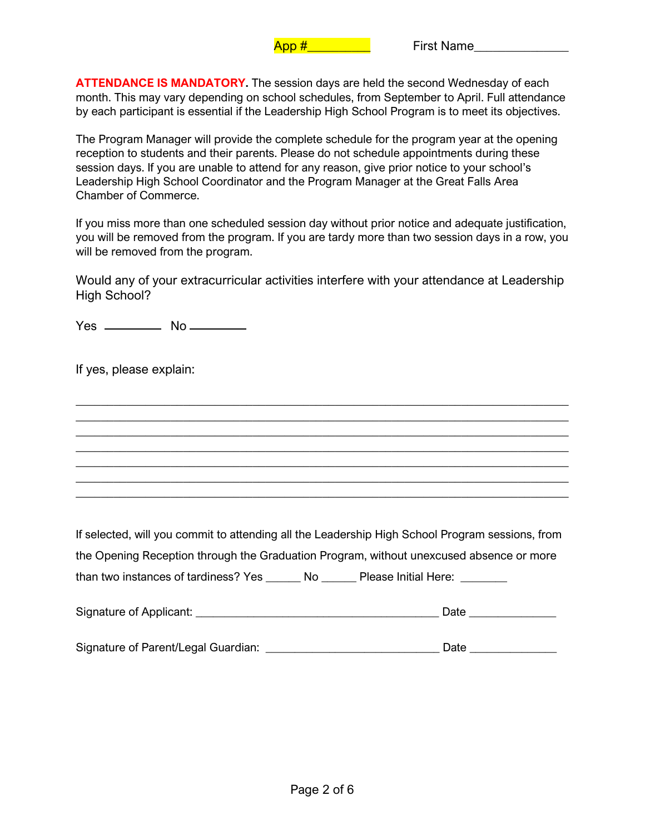**ATTENDANCE IS MANDATORY.** The session days are held the second Wednesday of each month. This may vary depending on school schedules, from September to April. Full attendance by each participant is essential if the Leadership High School Program is to meet its objectives.

The Program Manager will provide the complete schedule for the program year at the opening reception to students and their parents. Please do not schedule appointments during these session days. If you are unable to attend for any reason, give prior notice to your school's Leadership High School Coordinator and the Program Manager at the Great Falls Area Chamber of Commerce.

If you miss more than one scheduled session day without prior notice and adequate justification, you will be removed from the program. If you are tardy more than two session days in a row, you will be removed from the program.

Would any of your extracurricular activities interfere with your attendance at Leadership High School?

\_\_\_\_\_\_\_\_\_\_\_\_\_\_\_\_\_\_\_\_\_\_\_\_\_\_\_\_\_\_\_\_\_\_\_\_\_\_\_\_\_\_\_\_\_\_\_\_\_\_\_\_\_\_\_\_\_\_\_\_\_\_\_\_\_\_\_\_\_\_\_\_\_\_\_\_\_\_ \_\_\_\_\_\_\_\_\_\_\_\_\_\_\_\_\_\_\_\_\_\_\_\_\_\_\_\_\_\_\_\_\_\_\_\_\_\_\_\_\_\_\_\_\_\_\_\_\_\_\_\_\_\_\_\_\_\_\_\_\_\_\_\_\_\_\_\_\_\_\_\_\_\_\_\_\_\_ \_\_\_\_\_\_\_\_\_\_\_\_\_\_\_\_\_\_\_\_\_\_\_\_\_\_\_\_\_\_\_\_\_\_\_\_\_\_\_\_\_\_\_\_\_\_\_\_\_\_\_\_\_\_\_\_\_\_\_\_\_\_\_\_\_\_\_\_\_\_\_\_\_\_\_\_\_\_ \_\_\_\_\_\_\_\_\_\_\_\_\_\_\_\_\_\_\_\_\_\_\_\_\_\_\_\_\_\_\_\_\_\_\_\_\_\_\_\_\_\_\_\_\_\_\_\_\_\_\_\_\_\_\_\_\_\_\_\_\_\_\_\_\_\_\_\_\_\_\_\_\_\_\_\_\_\_ \_\_\_\_\_\_\_\_\_\_\_\_\_\_\_\_\_\_\_\_\_\_\_\_\_\_\_\_\_\_\_\_\_\_\_\_\_\_\_\_\_\_\_\_\_\_\_\_\_\_\_\_\_\_\_\_\_\_\_\_\_\_\_\_\_\_\_\_\_\_\_\_\_\_\_\_\_\_ \_\_\_\_\_\_\_\_\_\_\_\_\_\_\_\_\_\_\_\_\_\_\_\_\_\_\_\_\_\_\_\_\_\_\_\_\_\_\_\_\_\_\_\_\_\_\_\_\_\_\_\_\_\_\_\_\_\_\_\_\_\_\_\_\_\_\_\_\_\_\_\_\_\_\_\_\_\_ \_\_\_\_\_\_\_\_\_\_\_\_\_\_\_\_\_\_\_\_\_\_\_\_\_\_\_\_\_\_\_\_\_\_\_\_\_\_\_\_\_\_\_\_\_\_\_\_\_\_\_\_\_\_\_\_\_\_\_\_\_\_\_\_\_\_\_\_\_\_\_\_\_\_\_\_\_\_

 $Yes$   $No$   $No$ 

If yes, please explain:

If selected, will you commit to attending all the Leadership High School Program sessions, from the Opening Reception through the Graduation Program, without unexcused absence or more than two instances of tardiness? Yes \_\_\_\_\_\_ No \_\_\_\_\_\_ Please Initial Here: \_\_\_\_\_\_

| Signature of Applicant: |  |
|-------------------------|--|
|                         |  |

| Signature of Parent/Legal Guardian: | Date |
|-------------------------------------|------|
|                                     |      |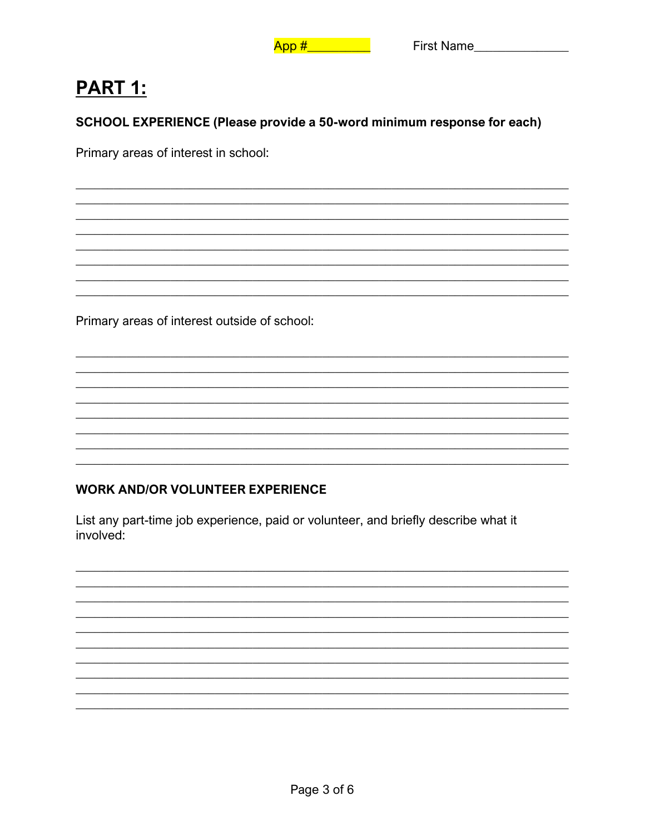# **PART 1:**

SCHOOL EXPERIENCE (Please provide a 50-word minimum response for each)

Primary areas of interest in school:

Primary areas of interest outside of school:

### **WORK AND/OR VOLUNTEER EXPERIENCE**

List any part-time job experience, paid or volunteer, and briefly describe what it involved: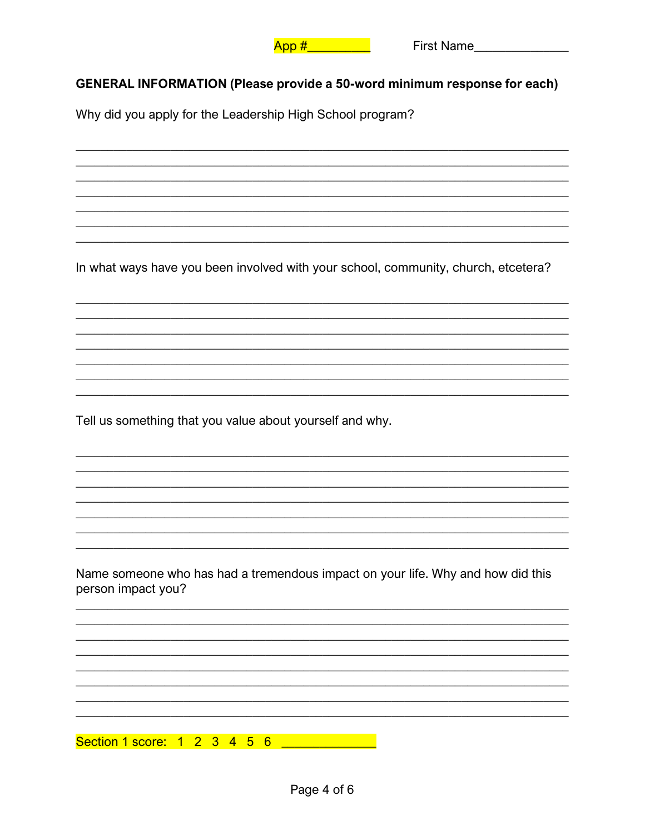

#### **GENERAL INFORMATION (Please provide a 50-word minimum response for each)**

Why did you apply for the Leadership High School program?

In what ways have you been involved with your school, community, church, etcetera?

Tell us something that you value about yourself and why.

Name someone who has had a tremendous impact on your life. Why and how did this person impact you?

Section 1 score: 1 2 3 4 5 6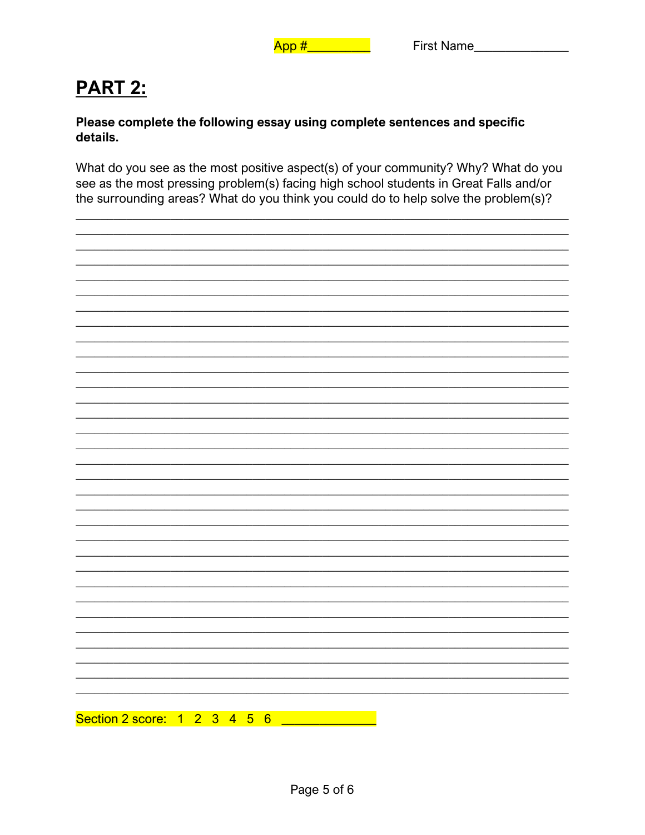## **PART 2:**

#### Please complete the following essay using complete sentences and specific details.

What do you see as the most positive aspect(s) of your community? Why? What do you see as the most pressing problem(s) facing high school students in Great Falls and/or the surrounding areas? What do you think you could do to help solve the problem(s)?